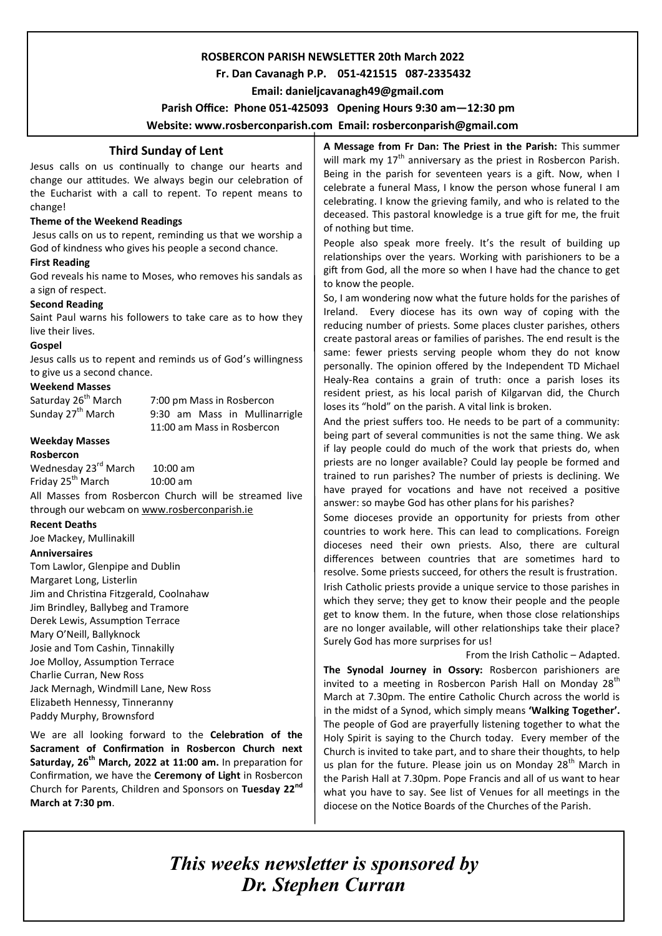## **ROSBERCON PARISH NEWSLETTER 20th March 2022**

## **Fr. Dan Cavanagh P.P. 051-421515 087-2335432**

 **Email: danieljcavanagh49@gmail.com**

 **Parish Office: Phone 051-425093****Opening Hours 9:30 am—12:30 pm** 

**Website: www.rosberconparish.com Email: rosberconparish@gmail.com**

## **Third Sunday of Lent**

Jesus calls on us continually to change our hearts and change our attitudes. We always begin our celebration of the Eucharist with a call to repent. To repent means to change!

## **Theme of the Weekend Readings**

Jesus calls on us to repent, reminding us that we worship a God of kindness who gives his people a second chance.

## **First Reading**

God reveals his name to Moses, who removes his sandals as a sign of respect.

## **Second Reading**

Saint Paul warns his followers to take care as to how they live their lives.

## **Gospel**

Jesus calls us to repent and reminds us of God's willingness to give us a second chance.

## **Weekend Masses**

Saturday 26<sup>th</sup> March 7:00 pm Mass in Rosbercon<br>Sunday 27<sup>th</sup> March 9:30 am Mass in Mullina 9:30 am Mass in Mullinarrigle 11:00 am Mass in Rosbercon

## **Weekday Masses**

#### **Rosbercon**

Wednesday 23<sup>rd</sup> March 10:00 am Friday  $25^{th}$  March 10:00 am

All Masses from Rosbercon Church will be streamed live through our webcam on [www.rosberconparish.ie](http://www.rosberconparish.ie/)

#### **Recent Deaths**

Joe Mackey, Mullinakill

## **Anniversaires**

Tom Lawlor, Glenpipe and Dublin Margaret Long, Listerlin Jim and Christina Fitzgerald, Coolnahaw Jim Brindley, Ballybeg and Tramore Derek Lewis, Assumption Terrace Mary O'Neill, Ballyknock Josie and Tom Cashin, Tinnakilly Joe Molloy, Assumption Terrace Charlie Curran, New Ross Jack Mernagh, Windmill Lane, New Ross Elizabeth Hennessy, Tinneranny Paddy Murphy, Brownsford

We are all looking forward to the **Celebration of the Sacrament of Confirmation in Rosbercon Church next Saturday, 26th March, 2022 at 11:00 am.** In preparation for Confirmation, we have the **Ceremony of Light** in Rosbercon Church for Parents, Children and Sponsors on **Tuesday 22nd March at 7:30 pm**.

**A Message from Fr Dan: The Priest in the Parish:** This summer will mark my  $17<sup>th</sup>$  anniversary as the priest in Rosbercon Parish. Being in the parish for seventeen years is a gift. Now, when I celebrate a funeral Mass, I know the person whose funeral I am celebrating. I know the grieving family, and who is related to the deceased. This pastoral knowledge is a true gift for me, the fruit of nothing but time.

People also speak more freely. It's the result of building up relationships over the years. Working with parishioners to be a gift from God, all the more so when I have had the chance to get to know the people.

So, I am wondering now what the future holds for the parishes of Ireland. Every diocese has its own way of coping with the reducing number of priests. Some places cluster parishes, others create pastoral areas or families of parishes. The end result is the same: fewer priests serving people whom they do not know personally. The opinion offered by the Independent TD Michael Healy-Rea contains a grain of truth: once a parish loses its resident priest, as his local parish of Kilgarvan did, the Church loses its "hold" on the parish. A vital link is broken.

And the priest suffers too. He needs to be part of a community: being part of several communities is not the same thing. We ask if lay people could do much of the work that priests do, when priests are no longer available? Could lay people be formed and trained to run parishes? The number of priests is declining. We have prayed for vocations and have not received a positive answer: so maybe God has other plans for his parishes?

Some dioceses provide an opportunity for priests from other countries to work here. This can lead to complications. Foreign dioceses need their own priests. Also, there are cultural differences between countries that are sometimes hard to resolve. Some priests succeed, for others the result is frustration. Irish Catholic priests provide a unique service to those parishes in which they serve; they get to know their people and the people get to know them. In the future, when those close relationships are no longer available, will other relationships take their place? Surely God has more surprises for us!

#### From the Irish Catholic – Adapted.

**The Synodal Journey in Ossory:** Rosbercon parishioners are invited to a meeting in Rosbercon Parish Hall on Monday  $28<sup>th</sup>$ March at 7.30pm. The entire Catholic Church across the world is in the midst of a Synod, which simply means **'Walking Together'.** The people of God are prayerfully listening together to what the Holy Spirit is saying to the Church today. Every member of the Church is invited to take part, and to share their thoughts, to help us plan for the future. Please join us on Monday 28<sup>th</sup> March in the Parish Hall at 7.30pm. Pope Francis and all of us want to hear what you have to say. See list of Venues for all meetings in the diocese on the Notice Boards of the Churches of the Parish.

*This weeks newsletter is sponsored by Dr. Stephen Curran*